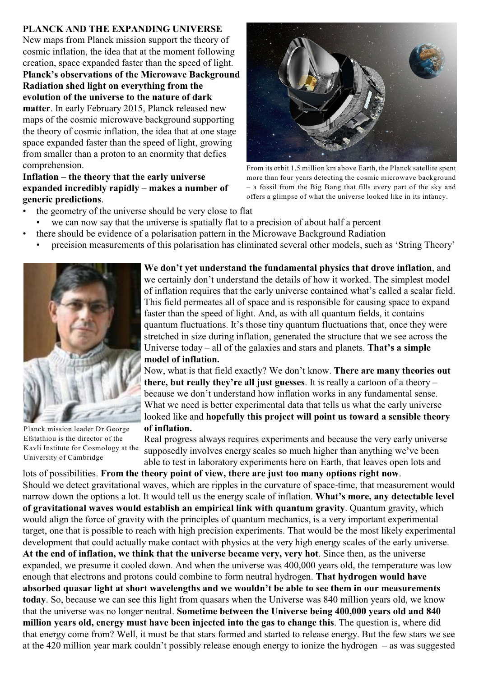## **PLANCK AND THE EXPANDING UNIVERSE**

New maps from Planck mission support the theory of cosmic inflation, the idea that at the moment following creation, space expanded faster than the speed of light. **Planck's observations of the Microwave Background Radiation shed light on everything from the evolution of the universe to the nature of dark matter**. In early February 2015, Planck released new maps of the cosmic microwave background supporting the theory of cosmic inflation, the idea that at one stage space expanded faster than the speed of light, growing from smaller than a proton to an enormity that defies comprehension.

## **Inflation – the theory that the early universe expanded incredibly rapidly – makes a number of generic predictions**.



From its orbit 1.5 million km above Earth, the Planck satellite spent more than four years detecting the cosmic microwave background – a fossil from the Big Bang that fills every part of the sky and offers a glimpse of what the universe looked like in its infancy.

- the geometry of the universe should be very close to flat
- we can now say that the universe is spatially flat to a precision of about half a percent
- there should be evidence of a polarisation pattern in the Microwave Background Radiation
- precision measurements of this polarisation has eliminated several other models, such as 'String Theory'



Planck mission leader Dr George Efstathiou is the director of the Kavli Institute for Cosmology at the University of Cambridge

**We don't yet understand the fundamental physics that drove inflation**, and we certainly don't understand the details of how it worked. The simplest model of inflation requires that the early universe contained what's called a scalar field. This field permeates all of space and is responsible for causing space to expand faster than the speed of light. And, as with all quantum fields, it contains quantum fluctuations. It's those tiny quantum fluctuations that, once they were stretched in size during inflation, generated the structure that we see across the Universe today – all of the galaxies and stars and planets. **That's a simple model of inflation.**

Now, what is that field exactly? We don't know. **There are many theories out there, but really they're all just guesses**. It is really a cartoon of a theory – because we don't understand how inflation works in any fundamental sense. What we need is better experimental data that tells us what the early universe looked like and **hopefully this project will point us toward a sensible theory of inflation.**

Real progress always requires experiments and because the very early universe supposedly involves energy scales so much higher than anything we've been able to test in laboratory experiments here on Earth, that leaves open lots and

lots of possibilities. **From the theory point of view, there are just too many options right now**. Should we detect gravitational waves, which are ripples in the curvature of space-time, that measurement would narrow down the options a lot. It would tell us the energy scale of inflation. **What's more, any detectable level of gravitational waves would establish an empirical link with quantum gravity**. Quantum gravity, which would align the force of gravity with the principles of quantum mechanics, is a very important experimental target, one that is possible to reach with high precision experiments. That would be the most likely experimental development that could actually make contact with physics at the very high energy scales of the early universe. **At the end of inflation, we think that the universe became very, very hot**. Since then, as the universe expanded, we presume it cooled down. And when the universe was 400,000 years old, the temperature was low enough that electrons and protons could combine to form neutral hydrogen. **That hydrogen would have absorbed quasar light at short wavelengths and we wouldn't be able to see them in our measurements today**. So, because we can see this light from quasars when the Universe was 840 million years old, we know that the universe was no longer neutral. **Sometime between the Universe being 400,000 years old and 840 million years old, energy must have been injected into the gas to change this**. The question is, where did that energy come from? Well, it must be that stars formed and started to release energy. But the few stars we see at the 420 million year mark couldn't possibly release enough energy to ionize the hydrogen – as was suggested